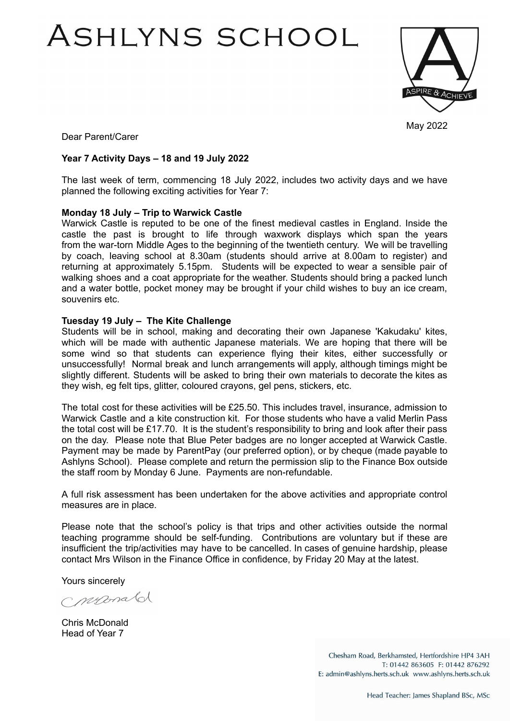# ASHLYNS SCHOOL



May 2022

Dear Parent/Carer

### **Year 7 Activity Days – 18 and 19 July 2022**

The last week of term, commencing 18 July 2022, includes two activity days and we have planned the following exciting activities for Year 7:

#### **Monday 18 July – Trip to Warwick Castle**

Warwick Castle is reputed to be one of the finest medieval castles in England. Inside the castle the past is brought to life through waxwork displays which span the years from the war-torn Middle Ages to the beginning of the twentieth century. We will be travelling by coach, leaving school at 8.30am (students should arrive at 8.00am to register) and returning at approximately 5.15pm. Students will be expected to wear a sensible pair of walking shoes and a coat appropriate for the weather. Students should bring a packed lunch and a water bottle, pocket money may be brought if your child wishes to buy an ice cream, souvenirs etc.

#### **Tuesday 19 July – The Kite Challenge**

Students will be in school, making and decorating their own Japanese 'Kakudaku' kites, which will be made with authentic Japanese materials. We are hoping that there will be some wind so that students can experience flying their kites, either successfully or unsuccessfully! Normal break and lunch arrangements will apply, although timings might be slightly different. Students will be asked to bring their own materials to decorate the kites as they wish, eg felt tips, glitter, coloured crayons, gel pens, stickers, etc.

The total cost for these activities will be £25.50. This includes travel, insurance, admission to Warwick Castle and a kite construction kit. For those students who have a valid Merlin Pass the total cost will be £17.70. It is the student's responsibility to bring and look after their pass on the day. Please note that Blue Peter badges are no longer accepted at Warwick Castle. Payment may be made by ParentPay (our preferred option), or by cheque (made payable to Ashlyns School). Please complete and return the permission slip to the Finance Box outside the staff room by Monday 6 June. Payments are non-refundable.

A full risk assessment has been undertaken for the above activities and appropriate control measures are in place.

Please note that the school's policy is that trips and other activities outside the normal teaching programme should be self-funding. Contributions are voluntary but if these are insufficient the trip/activities may have to be cancelled. In cases of genuine hardship, please contact Mrs Wilson in the Finance Office in confidence, by Friday 20 May at the latest.

Yours sincerely

neronald

Chris McDonald Head of Year 7